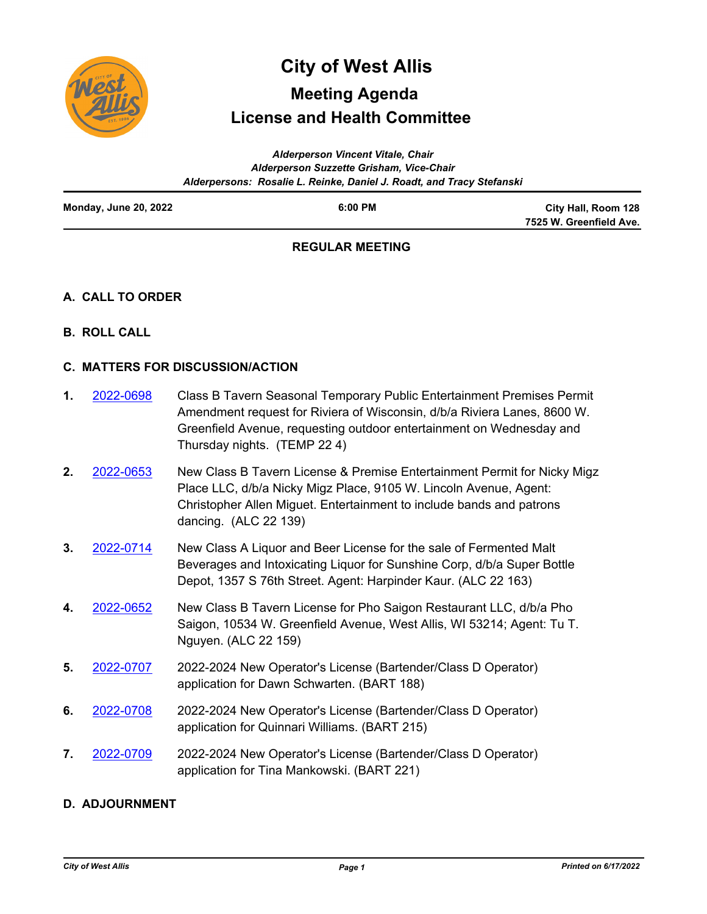

# **License and Health Committee City of West Allis Meeting Agenda**

|                       | <b>Alderperson Vincent Vitale, Chair</b>                              |                                                |
|-----------------------|-----------------------------------------------------------------------|------------------------------------------------|
|                       | Alderperson Suzzette Grisham, Vice-Chair                              |                                                |
|                       | Alderpersons: Rosalie L. Reinke, Daniel J. Roadt, and Tracy Stefanski |                                                |
| Monday, June 20, 2022 | 6:00 PM                                                               | City Hall, Room 128<br>7525 W. Greenfield Ave. |
|                       |                                                                       |                                                |

## **REGULAR MEETING**

## **A. CALL TO ORDER**

**B. ROLL CALL**

## **C. MATTERS FOR DISCUSSION/ACTION**

| 1. | 2022-0698   | Class B Tavern Seasonal Temporary Public Entertainment Premises Permit<br>Amendment request for Riviera of Wisconsin, d/b/a Riviera Lanes, 8600 W.<br>Greenfield Avenue, requesting outdoor entertainment on Wednesday and<br>Thursday nights. (TEMP 22 4) |
|----|-------------|------------------------------------------------------------------------------------------------------------------------------------------------------------------------------------------------------------------------------------------------------------|
|    | 2 2022-0653 | New Class B Tavern License & Premise Entertainment Permit for Nicky Migz                                                                                                                                                                                   |

- Class B Tavern License & Premise Entertainment Permit for Nicky Migz Place LLC, d/b/a Nicky Migz Place, 9105 W. Lincoln Avenue, Agent: Christopher Allen Miguet. Entertainment to include bands and patrons dancing. (ALC 22 139) **2.** [2022-0653](http://westalliswi.legistar.com/gateway.aspx?m=l&id=/matter.aspx?key=28916)
- New Class A Liquor and Beer License for the sale of Fermented Malt Beverages and Intoxicating Liquor for Sunshine Corp, d/b/a Super Bottle Depot, 1357 S 76th Street. Agent: Harpinder Kaur. (ALC 22 163) **3.** [2022-0714](http://westalliswi.legistar.com/gateway.aspx?m=l&id=/matter.aspx?key=28964)
- New Class B Tavern License for Pho Saigon Restaurant LLC, d/b/a Pho Saigon, 10534 W. Greenfield Avenue, West Allis, WI 53214; Agent: Tu T. Nguyen. (ALC 22 159) **4.** [2022-0652](http://westalliswi.legistar.com/gateway.aspx?m=l&id=/matter.aspx?key=28915)
- 2022-2024 New Operator's License (Bartender/Class D Operator) application for Dawn Schwarten. (BART 188) **5.** [2022-0707](http://westalliswi.legistar.com/gateway.aspx?m=l&id=/matter.aspx?key=28961)
- 2022-2024 New Operator's License (Bartender/Class D Operator) application for Quinnari Williams. (BART 215) **6.** [2022-0708](http://westalliswi.legistar.com/gateway.aspx?m=l&id=/matter.aspx?key=28962)
- 2022-2024 New Operator's License (Bartender/Class D Operator) application for Tina Mankowski. (BART 221) **7.** [2022-0709](http://westalliswi.legistar.com/gateway.aspx?m=l&id=/matter.aspx?key=28963)

## **D. ADJOURNMENT**